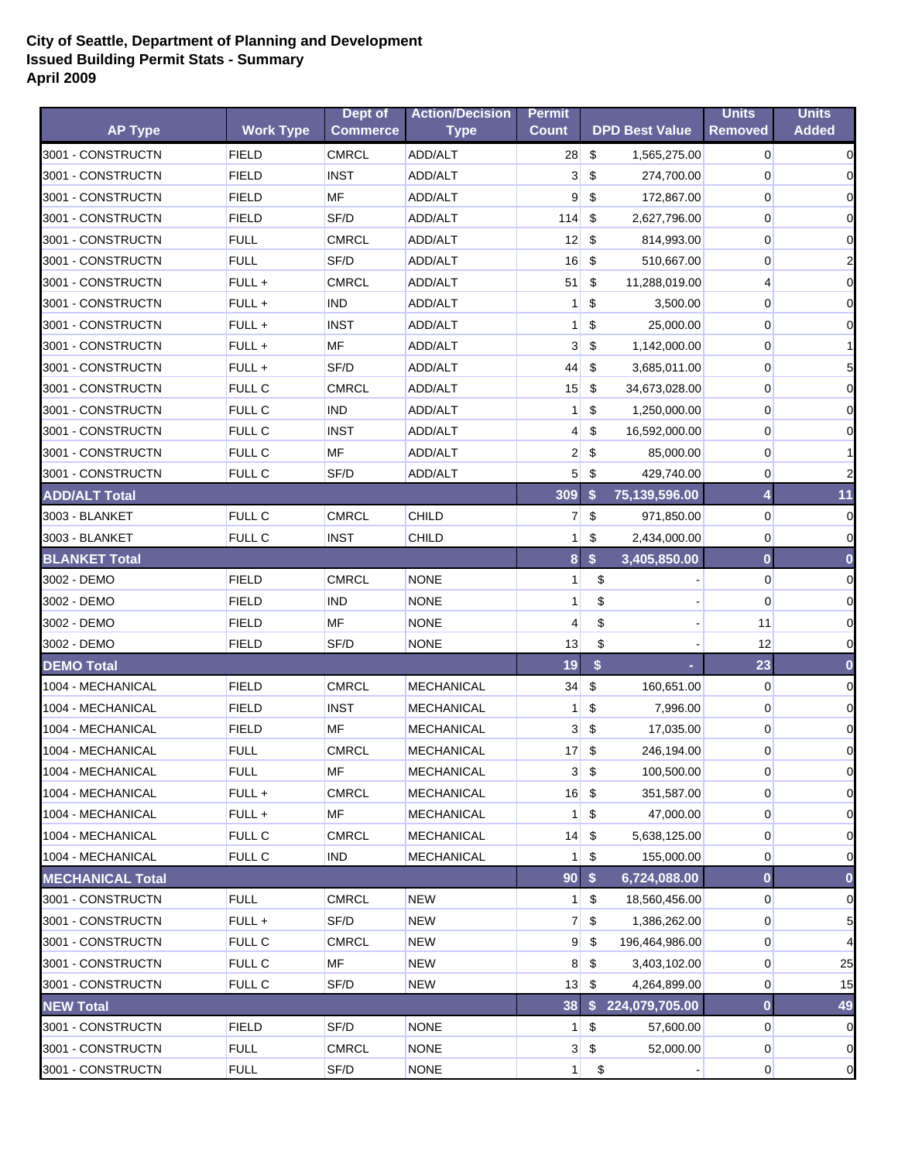## **City of Seattle, Department of Planning and Development Issued Building Permit Stats - Summary April 2009**

|                         |                  | Dept of         | <b>Action/Decision</b> | <b>Permit</b>   |                         |                       | <b>Units</b>   | <b>Units</b>   |
|-------------------------|------------------|-----------------|------------------------|-----------------|-------------------------|-----------------------|----------------|----------------|
| <b>AP Type</b>          | <b>Work Type</b> | <b>Commerce</b> | <b>Type</b>            | <b>Count</b>    |                         | <b>DPD Best Value</b> | <b>Removed</b> | <b>Added</b>   |
| 3001 - CONSTRUCTN       | <b>FIELD</b>     | <b>CMRCL</b>    | ADD/ALT                | 28              | \$                      | 1,565,275.00          | $\overline{0}$ | $\mathbf 0$    |
| 3001 - CONSTRUCTN       | <b>FIELD</b>     | <b>INST</b>     | ADD/ALT                | 3 <sup>l</sup>  | \$                      | 274,700.00            | 0              | $\overline{0}$ |
| 3001 - CONSTRUCTN       | <b>FIELD</b>     | MF              | ADD/ALT                | $\overline{9}$  | \$                      | 172,867.00            | 0              | $\overline{0}$ |
| 3001 - CONSTRUCTN       | <b>FIELD</b>     | SF/D            | ADD/ALT                | 114             | \$                      | 2,627,796.00          | 0              | $\overline{0}$ |
| 3001 - CONSTRUCTN       | <b>FULL</b>      | <b>CMRCL</b>    | ADD/ALT                | 12              | \$                      | 814,993.00            | 0              | $\overline{0}$ |
| 3001 - CONSTRUCTN       | <b>FULL</b>      | SF/D            | ADD/ALT                | 16              | \$                      | 510,667.00            | 0              | $\overline{a}$ |
| 3001 - CONSTRUCTN       | FULL +           | <b>CMRCL</b>    | ADD/ALT                | 51              | \$                      | 11,288,019.00         | 4              | $\overline{0}$ |
| 3001 - CONSTRUCTN       | FULL +           | <b>IND</b>      | ADD/ALT                | $\mathbf{1}$    | \$                      | 3,500.00              | 0              | $\overline{0}$ |
| 3001 - CONSTRUCTN       | FULL +           | <b>INST</b>     | ADD/ALT                | 1 <sup>1</sup>  | \$                      | 25,000.00             | $\mathbf 0$    | $\overline{0}$ |
| 3001 - CONSTRUCTN       | FULL +           | MF              | ADD/ALT                | 3               | \$                      | 1,142,000.00          | 0              | $\mathbf{1}$   |
| 3001 - CONSTRUCTN       | FULL +           | SF/D            | ADD/ALT                | 44              | \$                      | 3,685,011.00          | 0              | 5 <sub>l</sub> |
| 3001 - CONSTRUCTN       | <b>FULL C</b>    | <b>CMRCL</b>    | ADD/ALT                | 15              | \$                      | 34,673,028.00         | 0              | $\mathbf 0$    |
| 3001 - CONSTRUCTN       | <b>FULL C</b>    | <b>IND</b>      | ADD/ALT                | $\mathbf{1}$    | \$                      | 1,250,000.00          | 0              | $\overline{0}$ |
| 3001 - CONSTRUCTN       | <b>FULL C</b>    | <b>INST</b>     | ADD/ALT                | $\overline{4}$  | \$                      | 16,592,000.00         | 0              | $\overline{0}$ |
| 3001 - CONSTRUCTN       | <b>FULL C</b>    | MF              | ADD/ALT                | $\overline{2}$  | \$                      | 85,000.00             | 0              | $\mathbf{1}$   |
| 3001 - CONSTRUCTN       | <b>FULL C</b>    | SF/D            | ADD/ALT                | 5 <sup>1</sup>  | \$                      | 429,740.00            | 0              | $\overline{2}$ |
| <b>ADD/ALT Total</b>    |                  |                 |                        | 309             | \$                      | 75,139,596.00         | 4              | 11             |
| 3003 - BLANKET          | <b>FULL C</b>    | <b>CMRCL</b>    | CHILD                  | 7 <sup>1</sup>  | \$                      | 971,850.00            | $\overline{0}$ | $\mathbf 0$    |
| 3003 - BLANKET          | <b>FULL C</b>    | <b>INST</b>     | <b>CHILD</b>           | 1 <sup>1</sup>  | \$                      | 2,434,000.00          | $\mathbf 0$    | $\overline{0}$ |
| <b>BLANKET Total</b>    |                  |                 |                        | 8 <sup>1</sup>  | \$                      | 3,405,850.00          | $\bf{0}$       | $\bf{0}$       |
| 3002 - DEMO             | <b>FIELD</b>     | <b>CMRCL</b>    | <b>NONE</b>            | $\mathbf{1}$    | \$                      |                       | $\overline{0}$ | $\overline{0}$ |
| 3002 - DEMO             | <b>FIELD</b>     | <b>IND</b>      | <b>NONE</b>            | 1               | \$                      |                       | 0              | $\overline{0}$ |
| 3002 - DEMO             | <b>FIELD</b>     | MF              | <b>NONE</b>            | 4               | \$                      |                       | 11             | $\overline{0}$ |
| 3002 - DEMO             | <b>FIELD</b>     | SF/D            | <b>NONE</b>            | 13              | \$                      |                       | 12             | $\overline{0}$ |
| <b>DEMO Total</b>       |                  |                 |                        | 19              | \$                      |                       | 23             | $\bf{0}$       |
| 1004 - MECHANICAL       | <b>FIELD</b>     | <b>CMRCL</b>    | <b>MECHANICAL</b>      | 34              | $\sqrt[6]{\frac{1}{2}}$ | 160,651.00            | $\overline{0}$ | $\mathbf 0$    |
| 1004 - MECHANICAL       | <b>FIELD</b>     | <b>INST</b>     | <b>MECHANICAL</b>      | $\mathbf{1}$    | \$                      | 7,996.00              | 0              | $\overline{0}$ |
| 1004 - MECHANICAL       | <b>FIELD</b>     | MF              | <b>MECHANICAL</b>      | 3 <sup>1</sup>  | \$                      | 17,035.00             | $\mathbf 0$    | $\overline{0}$ |
| 1004 - MECHANICAL       | <b>FULL</b>      | <b>CMRCL</b>    | <b>MECHANICAL</b>      | 17              | \$                      | 246,194.00            | $\mathbf 0$    | $\overline{0}$ |
| 1004 - MECHANICAL       | <b>FULL</b>      | МF              | <b>MECHANICAL</b>      |                 | $3 \,$ $\frac{6}{3}$    | 100,500.00            | $\overline{0}$ | $\overline{0}$ |
| 1004 - MECHANICAL       | FULL +           | <b>CMRCL</b>    | <b>MECHANICAL</b>      | $16$ \$         |                         | 351,587.00            | 0              | $\overline{0}$ |
| 1004 - MECHANICAL       | FULL +           | MF              | <b>MECHANICAL</b>      | 1 <sup>1</sup>  | \$                      | 47,000.00             | 0              | $\overline{0}$ |
| 1004 - MECHANICAL       | <b>FULL C</b>    | <b>CMRCL</b>    | <b>MECHANICAL</b>      | 14              | \$                      | 5,638,125.00          | 0              | $\overline{O}$ |
| 1004 - MECHANICAL       | <b>FULL C</b>    | <b>IND</b>      | <b>MECHANICAL</b>      | 1               | \$                      | 155,000.00            | 0              | $\overline{0}$ |
| <b>MECHANICAL Total</b> |                  |                 |                        | 90 <sub>1</sub> | \$                      | 6,724,088.00          | $\bf{0}$       | $\bf{0}$       |
| 3001 - CONSTRUCTN       | <b>FULL</b>      | <b>CMRCL</b>    | <b>NEW</b>             | 1               | \$                      | 18,560,456.00         | 0              | $\overline{0}$ |
| 3001 - CONSTRUCTN       | FULL +           | SF/D            | <b>NEW</b>             | 7 <sup>1</sup>  | \$                      | 1,386,262.00          | 0              | 5              |
| 3001 - CONSTRUCTN       | FULL C           | <b>CMRCL</b>    | <b>NEW</b>             | 9               | \$                      | 196,464,986.00        | 0              |                |
| 3001 - CONSTRUCTN       | <b>FULL C</b>    | MF              | <b>NEW</b>             | 8 <sup>°</sup>  | \$                      | 3,403,102.00          | 0              | 25             |
| 3001 - CONSTRUCTN       | <b>FULL C</b>    | SF/D            | NEW                    | 13              | \$                      | 4,264,899.00          | 0              | 15             |
| <b>NEW Total</b>        |                  |                 |                        | 38              | $\mathbf{s}$            | 224,079,705.00        | 0              | 49             |
| 3001 - CONSTRUCTN       | <b>FIELD</b>     | SF/D            | <b>NONE</b>            | 11              | \$                      | 57,600.00             | $\overline{0}$ | $\mathbf 0$    |
| 3001 - CONSTRUCTN       | <b>FULL</b>      | <b>CMRCL</b>    | <b>NONE</b>            | 3 <sup>1</sup>  | \$                      | 52,000.00             | $\overline{0}$ | $\overline{0}$ |
|                         |                  |                 |                        |                 |                         |                       |                |                |
| 3001 - CONSTRUCTN       | <b>FULL</b>      | SF/D            | <b>NONE</b>            | 1 <sup>1</sup>  | \$                      |                       | 0              | $\overline{0}$ |